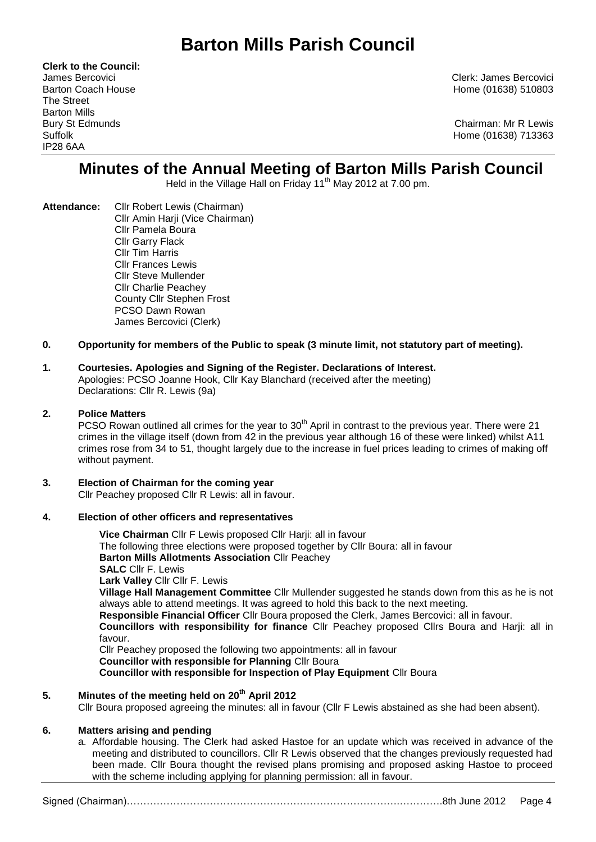**Clerk to the Council:** The Street Barton Mills IP28 6AA

James Bercovici Clerk: James Bercovici Barton Coach House **Home (01638)** 510803

Bury St Edmunds Chairman: Mr R Lewis Suffolk Home (01638) 713363

# **Minutes of the Annual Meeting of Barton Mills Parish Council**

Held in the Village Hall on Friday  $11<sup>th</sup>$  May 2012 at 7.00 pm.

**Attendance:** Cllr Robert Lewis (Chairman) Cllr Amin Harji (Vice Chairman) Cllr Pamela Boura Cllr Garry Flack Cllr Tim Harris Cllr Frances Lewis Cllr Steve Mullender Cllr Charlie Peachey County Cllr Stephen Frost PCSO Dawn Rowan James Bercovici (Clerk)

# **0. Opportunity for members of the Public to speak (3 minute limit, not statutory part of meeting).**

## **1. Courtesies. Apologies and Signing of the Register. Declarations of Interest.**

Apologies: PCSO Joanne Hook, Cllr Kay Blanchard (received after the meeting) Declarations: Cllr R. Lewis (9a)

#### **2. Police Matters**

PCSO Rowan outlined all crimes for the year to  $30<sup>th</sup>$  April in contrast to the previous year. There were 21 crimes in the village itself (down from 42 in the previous year although 16 of these were linked) whilst A11 crimes rose from 34 to 51, thought largely due to the increase in fuel prices leading to crimes of making off without payment.

**3. Election of Chairman for the coming year**  Cllr Peachey proposed Cllr R Lewis: all in favour.

#### **4. Election of other officers and representatives**

**Vice Chairman** Cllr F Lewis proposed Cllr Harji: all in favour The following three elections were proposed together by Cllr Boura: all in favour **Barton Mills Allotments Association** Cllr Peachey **SALC** Cllr F. Lewis **Lark Valley** Cllr Cllr F. Lewis **Village Hall Management Committee** Cllr Mullender suggested he stands down from this as he is not always able to attend meetings. It was agreed to hold this back to the next meeting. **Responsible Financial Officer** Cllr Boura proposed the Clerk, James Bercovici: all in favour. **Councillors with responsibility for finance** Cllr Peachey proposed Cllrs Boura and Harji: all in favour. Cllr Peachey proposed the following two appointments: all in favour **Councillor with responsible for Planning** Cllr Boura **Councillor with responsible for Inspection of Play Equipment** Cllr Boura

# **5. Minutes of the meeting held on 20th April 2012**

Cllr Boura proposed agreeing the minutes: all in favour (Cllr F Lewis abstained as she had been absent).

#### **6. Matters arising and pending**

a. Affordable housing. The Clerk had asked Hastoe for an update which was received in advance of the meeting and distributed to councillors. Cllr R Lewis observed that the changes previously requested had been made. Cllr Boura thought the revised plans promising and proposed asking Hastoe to proceed with the scheme including applying for planning permission: all in favour.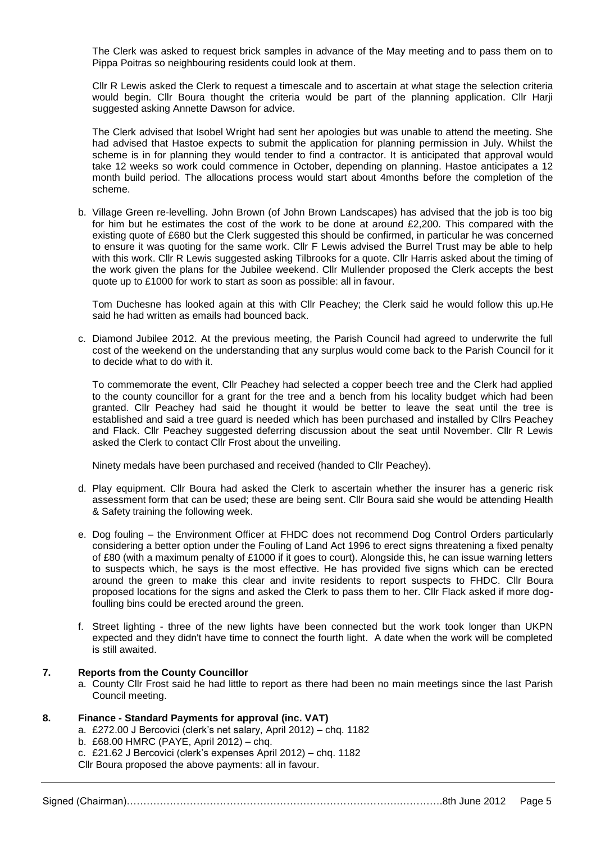The Clerk was asked to request brick samples in advance of the May meeting and to pass them on to Pippa Poitras so neighbouring residents could look at them.

Cllr R Lewis asked the Clerk to request a timescale and to ascertain at what stage the selection criteria would begin. Cllr Boura thought the criteria would be part of the planning application. Cllr Harji suggested asking Annette Dawson for advice.

The Clerk advised that Isobel Wright had sent her apologies but was unable to attend the meeting. She had advised that Hastoe expects to submit the application for planning permission in July. Whilst the scheme is in for planning they would tender to find a contractor. It is anticipated that approval would take 12 weeks so work could commence in October, depending on planning. Hastoe anticipates a 12 month build period. The allocations process would start about 4months before the completion of the scheme.

b. Village Green re-levelling. John Brown (of John Brown Landscapes) has advised that the job is too big for him but he estimates the cost of the work to be done at around £2,200. This compared with the existing quote of £680 but the Clerk suggested this should be confirmed, in particular he was concerned to ensure it was quoting for the same work. Cllr F Lewis advised the Burrel Trust may be able to help with this work. Cllr R Lewis suggested asking Tilbrooks for a quote. Cllr Harris asked about the timing of the work given the plans for the Jubilee weekend. Cllr Mullender proposed the Clerk accepts the best quote up to £1000 for work to start as soon as possible: all in favour.

Tom Duchesne has looked again at this with Cllr Peachey; the Clerk said he would follow this up.He said he had written as emails had bounced back.

c. Diamond Jubilee 2012. At the previous meeting, the Parish Council had agreed to underwrite the full cost of the weekend on the understanding that any surplus would come back to the Parish Council for it to decide what to do with it.

To commemorate the event, Cllr Peachey had selected a copper beech tree and the Clerk had applied to the county councillor for a grant for the tree and a bench from his locality budget which had been granted. Cllr Peachey had said he thought it would be better to leave the seat until the tree is established and said a tree guard is needed which has been purchased and installed by Cllrs Peachey and Flack. Cllr Peachey suggested deferring discussion about the seat until November. Cllr R Lewis asked the Clerk to contact Cllr Frost about the unveiling.

Ninety medals have been purchased and received (handed to Cllr Peachey).

- d. Play equipment. Cllr Boura had asked the Clerk to ascertain whether the insurer has a generic risk assessment form that can be used; these are being sent. Cllr Boura said she would be attending Health & Safety training the following week.
- e. Dog fouling the Environment Officer at FHDC does not recommend Dog Control Orders particularly considering a better option under the Fouling of Land Act 1996 to erect signs threatening a fixed penalty of £80 (with a maximum penalty of £1000 if it goes to court). Alongside this, he can issue warning letters to suspects which, he says is the most effective. He has provided five signs which can be erected around the green to make this clear and invite residents to report suspects to FHDC. Cllr Boura proposed locations for the signs and asked the Clerk to pass them to her. Cllr Flack asked if more dogfoulling bins could be erected around the green.
- f. Street lighting three of the new lights have been connected but the work took longer than UKPN expected and they didn't have time to connect the fourth light. A date when the work will be completed is still awaited.

#### **7. Reports from the County Councillor**

a. County Cllr Frost said he had little to report as there had been no main meetings since the last Parish Council meeting.

#### **8. Finance - Standard Payments for approval (inc. VAT)**

- a. £272.00 J Bercovici (clerk's net salary, April 2012) chq. 1182
- b. £68.00 HMRC (PAYE, April 2012) chq.
- c. £21.62 J Bercovici (clerk's expenses April 2012) chq. 1182
- Cllr Boura proposed the above payments: all in favour.